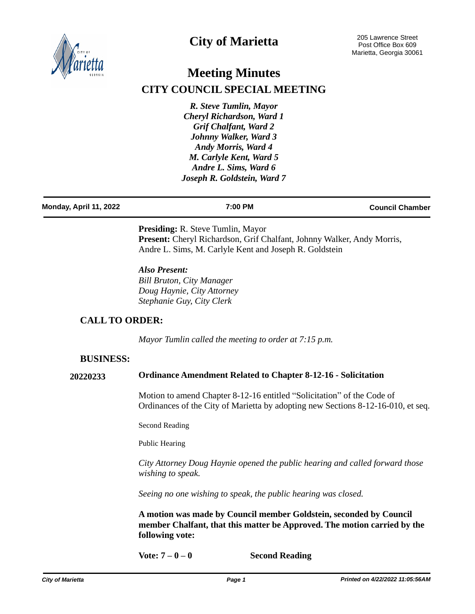

## **City of Marietta**

# **Meeting Minutes CITY COUNCIL SPECIAL MEETING**

*R. Steve Tumlin, Mayor Cheryl Richardson, Ward 1 Grif Chalfant, Ward 2 Johnny Walker, Ward 3 Andy Morris, Ward 4 M. Carlyle Kent, Ward 5 Andre L. Sims, Ward 6 Joseph R. Goldstein, Ward 7*

| Monday, April 11, 2022 | 7:00 PM | <b>Council Chamber</b> |
|------------------------|---------|------------------------|
|                        |         |                        |

**Presiding:** R. Steve Tumlin, Mayor Present: Cheryl Richardson, Grif Chalfant, Johnny Walker, Andy Morris, Andre L. Sims, M. Carlyle Kent and Joseph R. Goldstein

*Also Present: Bill Bruton, City Manager Doug Haynie, City Attorney Stephanie Guy, City Clerk*

## **CALL TO ORDER:**

*Mayor Tumlin called the meeting to order at 7:15 p.m.*

#### **BUSINESS:**

#### **20220233 Ordinance Amendment Related to Chapter 8-12-16 - Solicitation**

Motion to amend Chapter 8-12-16 entitled "Solicitation" of the Code of Ordinances of the City of Marietta by adopting new Sections 8-12-16-010, et seq.

Second Reading

Public Hearing

*City Attorney Doug Haynie opened the public hearing and called forward those wishing to speak.*

*Seeing no one wishing to speak, the public hearing was closed.*

**A motion was made by Council member Goldstein, seconded by Council member Chalfant, that this matter be Approved. The motion carried by the following vote:**

**Vote: 7 – 0 – 0 Second Reading**